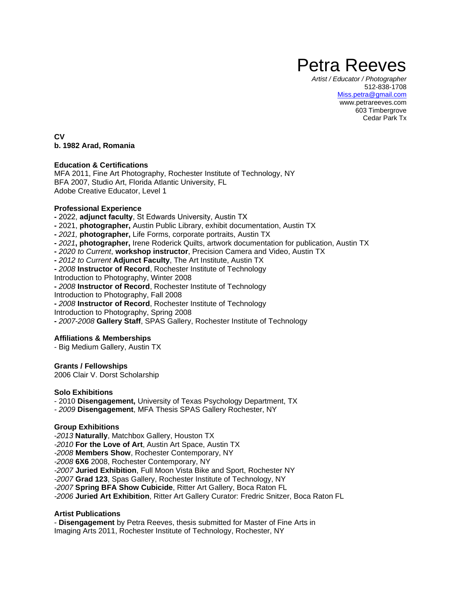# Petra Reeves

*Artist / Educator / Photographer* 512-838-1708 [Miss.petra@gmail.com](mailto:Miss.petra@gmail.com) www.petrareeves.com 603 Timbergrove Cedar Park Tx

**CV b. 1982 Arad, Romania**

#### **Education & Certifications**

MFA 2011, Fine Art Photography, Rochester Institute of Technology, NY BFA 2007, Studio Art, Florida Atlantic University, FL Adobe Creative Educator, Level 1

#### **Professional Experience**

**-** 2022, **adjunct faculty**, St Edwards University, Austin TX

- **-** 2021, **photographer,** Austin Public Library, exhibit documentation, Austin TX
- **-** *2021,* **photographer,** Life Forms, corporate portraits, Austin TX
- **-** *2021***, photographer,** Irene Roderick Quilts, artwork documentation for publication, Austin TX
- **-** *2020 to Current*, **workshop instructor**, Precision Camera and Video, Austin TX
- **-** *2012 to Current* **Adjunct Faculty**, The Art Institute, Austin TX
- **-** *2008* **Instructor of Record**, Rochester Institute of Technology

Introduction to Photography, Winter 2008

**-** *2008* **Instructor of Record**, Rochester Institute of Technology

Introduction to Photography, Fall 2008

- **-** *2008* **Instructor of Record**, Rochester Institute of Technology
- Introduction to Photography, Spring 2008

**-** *2007-2008* **Gallery Staff**, SPAS Gallery, Rochester Institute of Technology

## **Affiliations & Memberships**

- Big Medium Gallery, Austin TX

#### **Grants / Fellowships**

2006 Clair V. Dorst Scholarship

#### **Solo Exhibitions**

- 2010 **Disengagement,** University of Texas Psychology Department, TX
- *- 2009* **Disengagement**, MFA Thesis SPAS Gallery Rochester, NY

## **Group Exhibitions**

-*2013* **Naturally**, Matchbox Gallery, Houston TX *-2010* **For the Love of Art**, Austin Art Space, Austin TX *-2008* **Members Show**, Rochester Contemporary, NY *-2008* **6X6** 2008, Rochester Contemporary, NY *-2007* **Juried Exhibition**, Full Moon Vista Bike and Sport, Rochester NY *-2007* **Grad 123**, Spas Gallery, Rochester Institute of Technology, NY *-2007* **Spring BFA Show Cubicide**, Ritter Art Gallery, Boca Raton FL *-2006* **Juried Art Exhibition**, Ritter Art Gallery Curator: Fredric Snitzer, Boca Raton FL

# **Artist Publications**

- **Disengagement** by Petra Reeves, thesis submitted for Master of Fine Arts in Imaging Arts 2011, Rochester Institute of Technology, Rochester, NY